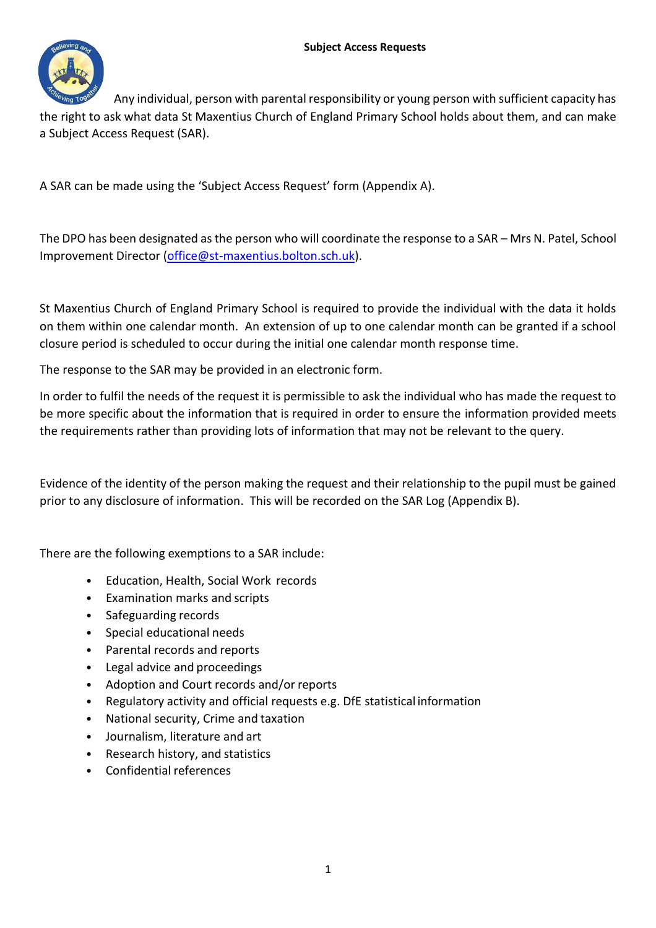

Any individual, person with parental responsibility or young person with sufficient capacity has the right to ask what data St Maxentius Church of England Primary School holds about them, and can make a Subject Access Request (SAR).

A SAR can be made using the 'Subject Access Request' form (Appendix A).

The DPO has been designated as the person who will coordinate the response to a SAR – Mrs N. Patel, School Improvement Director [\(office@st-maxentius.bolton.sch.uk\)](mailto:office@st-maxentius.bolton.sch.uk).

St Maxentius Church of England Primary School is required to provide the individual with the data it holds on them within one calendar month. An extension of up to one calendar month can be granted if a school closure period is scheduled to occur during the initial one calendar month response time.

The response to the SAR may be provided in an electronic form.

In order to fulfil the needs of the request it is permissible to ask the individual who has made the request to be more specific about the information that is required in order to ensure the information provided meets the requirements rather than providing lots of information that may not be relevant to the query.

Evidence of the identity of the person making the request and their relationship to the pupil must be gained prior to any disclosure of information. This will be recorded on the SAR Log (Appendix B).

There are the following exemptions to a SAR include:

- Education, Health, Social Work records
- Examination marks and scripts
- Safeguarding records
- Special educational needs
- Parental records and reports
- Legal advice and proceedings
- Adoption and Court records and/or reports
- Regulatory activity and official requests e.g. DfE statistical information
- National security, Crime and taxation
- Journalism, literature and art
- Research history, and statistics
- Confidential references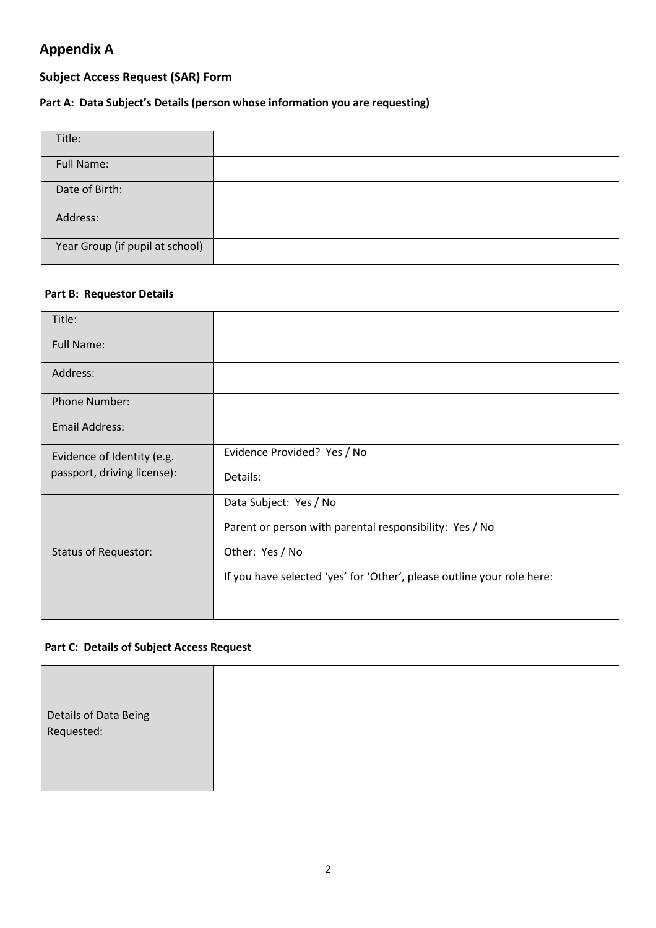## **Appendix A**

#### **Subject Access Request (SAR) Form**

#### **Part A: Data Subject's Details (person whose information you are requesting)**

| Title:                          |  |
|---------------------------------|--|
| <b>Full Name:</b>               |  |
| Date of Birth:                  |  |
| Address:                        |  |
| Year Group (if pupil at school) |  |

#### **Part B: Requestor Details**

| Title:                      |                                                                        |
|-----------------------------|------------------------------------------------------------------------|
| <b>Full Name:</b>           |                                                                        |
| Address:                    |                                                                        |
| Phone Number:               |                                                                        |
| Email Address:              |                                                                        |
| Evidence of Identity (e.g.  | Evidence Provided? Yes / No                                            |
| passport, driving license): | Details:                                                               |
|                             | Data Subject: Yes / No                                                 |
|                             | Parent or person with parental responsibility: Yes / No                |
| <b>Status of Requestor:</b> | Other: Yes / No                                                        |
|                             | If you have selected 'yes' for 'Other', please outline your role here: |
|                             |                                                                        |

#### **Part C: Details of Subject Access Request**

| Details of Data Being<br>Requested: |  |
|-------------------------------------|--|
|                                     |  |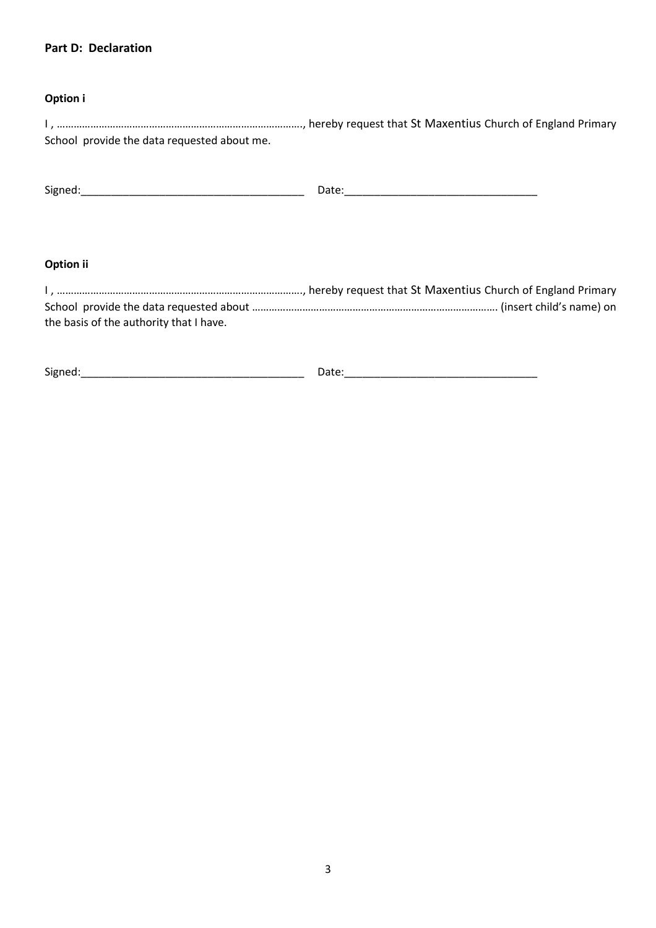#### **Part D: Declaration**

#### **Option i**

| School provide the data requested about me. |  |
|---------------------------------------------|--|

| $\sim$<br>Signe<br>--- |  |
|------------------------|--|
|                        |  |

### **Option ii**

| the basis of the authority that I have. |  |
|-----------------------------------------|--|

Signed:\_\_\_\_\_\_\_\_\_\_\_\_\_\_\_\_\_\_\_\_\_\_\_\_\_\_\_\_\_\_\_\_\_\_\_\_\_ Date:\_\_\_\_\_\_\_\_\_\_\_\_\_\_\_\_\_\_\_\_\_\_\_\_\_\_\_\_\_\_\_\_